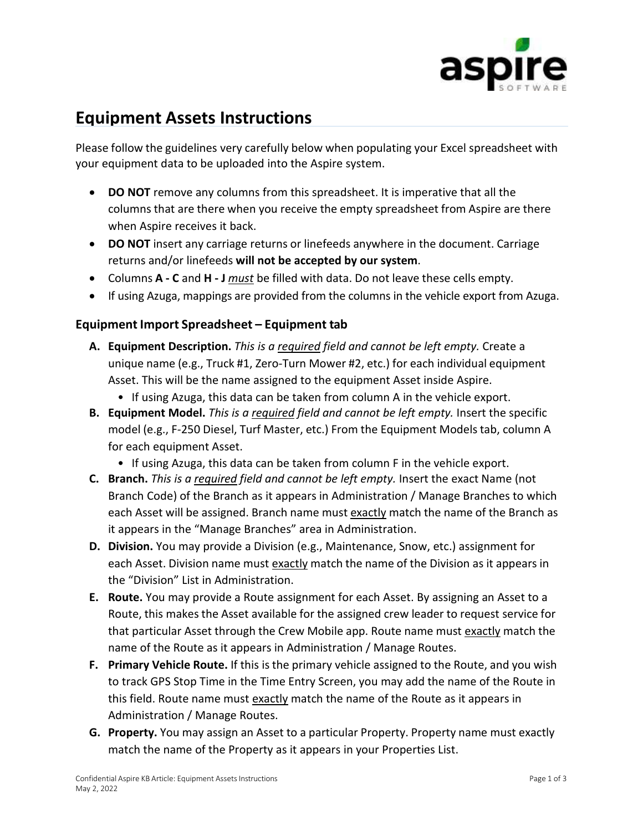

## **Equipment Assets Instructions**

Please follow the guidelines very carefully below when populating your Excel spreadsheet with your equipment data to be uploaded into the Aspire system.

- **DO NOT** remove any columns from this spreadsheet. It is imperative that all the columns that are there when you receive the empty spreadsheet from Aspire are there when Aspire receives it back.
- **DO NOT** insert any carriage returns or linefeeds anywhere in the document. Carriage returns and/or linefeeds **will not be accepted by our system**.
- Columns **A - C** and **H - J** *must* be filled with data. Do not leave these cells empty.
- If using Azuga, mappings are provided from the columns in the vehicle export from Azuga.

## **Equipment Import Spreadsheet – Equipment tab**

- **A. Equipment Description.** *This is a required field and cannot be left empty.* Create a unique name (e.g., Truck #1, Zero-Turn Mower #2, etc.) for each individual equipment Asset. This will be the name assigned to the equipment Asset inside Aspire.
	- If using Azuga, this data can be taken from column A in the vehicle export.
- **B. Equipment Model.** *This is a required field and cannot be left empty.* Insert the specific model (e.g., F-250 Diesel, Turf Master, etc.) From the Equipment Models tab, column A for each equipment Asset.
	- If using Azuga, this data can be taken from column F in the vehicle export.
- **C. Branch.** *This is a required field and cannot be left empty.* Insert the exact Name (not Branch Code) of the Branch as it appears in Administration / Manage Branches to which each Asset will be assigned. Branch name must exactly match the name of the Branch as it appears in the "Manage Branches" area in Administration.
- **D. Division.** You may provide a Division (e.g., Maintenance, Snow, etc.) assignment for each Asset. Division name must exactly match the name of the Division as it appears in the "Division" List in Administration.
- **E. Route.** You may provide a Route assignment for each Asset. By assigning an Asset to a Route, this makes the Asset available for the assigned crew leader to request service for that particular Asset through the Crew Mobile app. Route name must exactly match the name of the Route as it appears in Administration / Manage Routes.
- **F. Primary Vehicle Route.** If this is the primary vehicle assigned to the Route, and you wish to track GPS Stop Time in the Time Entry Screen, you may add the name of the Route in this field. Route name must exactly match the name of the Route as it appears in Administration / Manage Routes.
- **G. Property.** You may assign an Asset to a particular Property. Property name must exactly match the name of the Property as it appears in your Properties List.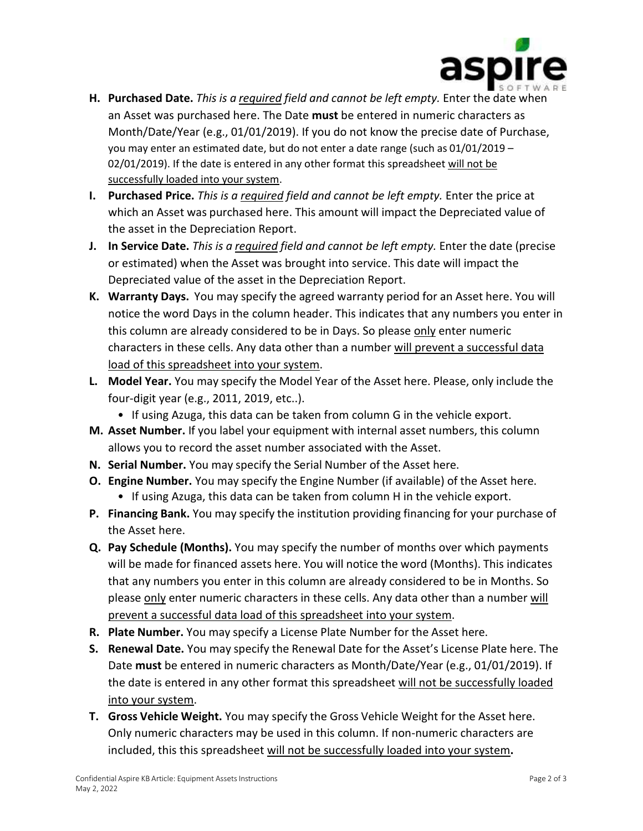

- **H. Purchased Date.** *This is a required field and cannot be left empty.* Enter the date when an Asset was purchased here. The Date **must** be entered in numeric characters as Month/Date/Year (e.g., 01/01/2019). If you do not know the precise date of Purchase, you may enter an estimated date, but do not enter a date range (such as 01/01/2019 – 02/01/2019). If the date is entered in any other format this spreadsheet will not be successfully loaded into your system.
- **I. Purchased Price.** *This is a required field and cannot be left empty.* Enter the price at which an Asset was purchased here. This amount will impact the Depreciated value of the asset in the Depreciation Report.
- **J. In Service Date.** *This is a required field and cannot be left empty.* Enter the date (precise or estimated) when the Asset was brought into service. This date will impact the Depreciated value of the asset in the Depreciation Report.
- **K. Warranty Days.** You may specify the agreed warranty period for an Asset here. You will notice the word Days in the column header. This indicates that any numbers you enter in this column are already considered to be in Days. So please only enter numeric characters in these cells. Any data other than a number will prevent a successful data load of this spreadsheet into your system.
- **L. Model Year.** You may specify the Model Year of the Asset here. Please, only include the four-digit year (e.g., 2011, 2019, etc..).
	- If using Azuga, this data can be taken from column G in the vehicle export.
- **M. Asset Number.** If you label your equipment with internal asset numbers, this column allows you to record the asset number associated with the Asset.
- **N. Serial Number.** You may specify the Serial Number of the Asset here.
- **O. Engine Number.** You may specify the Engine Number (if available) of the Asset here.
	- If using Azuga, this data can be taken from column H in the vehicle export.
- **P. Financing Bank.** You may specify the institution providing financing for your purchase of the Asset here.
- **Q. Pay Schedule (Months).** You may specify the number of months over which payments will be made for financed assets here. You will notice the word (Months). This indicates that any numbers you enter in this column are already considered to be in Months. So please only enter numeric characters in these cells. Any data other than a number will prevent a successful data load of this spreadsheet into your system.
- **R. Plate Number.** You may specify a License Plate Number for the Asset here.
- **S. Renewal Date.** You may specify the Renewal Date for the Asset's License Plate here. The Date **must** be entered in numeric characters as Month/Date/Year (e.g., 01/01/2019). If the date is entered in any other format this spreadsheet will not be successfully loaded into your system.
- **T. Gross Vehicle Weight.** You may specify the Gross Vehicle Weight for the Asset here. Only numeric characters may be used in this column. If non-numeric characters are included, this this spreadsheet will not be successfully loaded into your system**.**